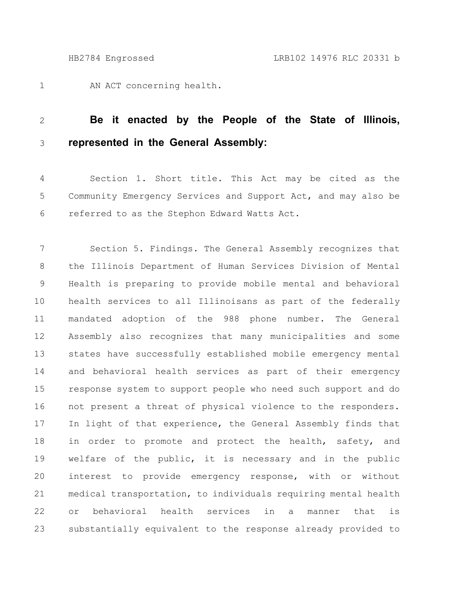AN ACT concerning health. 1

## **Be it enacted by the People of the State of Illinois, represented in the General Assembly:** 2 3

Section 1. Short title. This Act may be cited as the Community Emergency Services and Support Act, and may also be referred to as the Stephon Edward Watts Act. 4 5 6

Section 5. Findings. The General Assembly recognizes that the Illinois Department of Human Services Division of Mental Health is preparing to provide mobile mental and behavioral health services to all Illinoisans as part of the federally mandated adoption of the 988 phone number. The General Assembly also recognizes that many municipalities and some states have successfully established mobile emergency mental and behavioral health services as part of their emergency response system to support people who need such support and do not present a threat of physical violence to the responders. In light of that experience, the General Assembly finds that in order to promote and protect the health, safety, and welfare of the public, it is necessary and in the public interest to provide emergency response, with or without medical transportation, to individuals requiring mental health or behavioral health services in a manner that is substantially equivalent to the response already provided to 7 8 9 10 11 12 13 14 15 16 17 18 19 20 21 22 23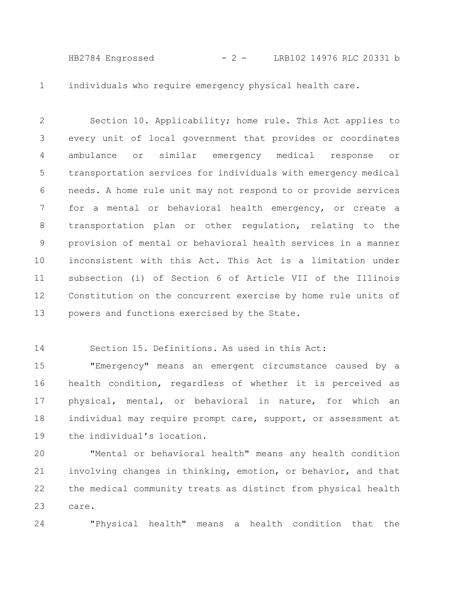HB2784 Engrossed - 2 - LRB102 14976 RLC 20331 b

individuals who require emergency physical health care. 1

Section 10. Applicability; home rule. This Act applies to every unit of local government that provides or coordinates ambulance or similar emergency medical response or transportation services for individuals with emergency medical needs. A home rule unit may not respond to or provide services for a mental or behavioral health emergency, or create a transportation plan or other regulation, relating to the provision of mental or behavioral health services in a manner inconsistent with this Act. This Act is a limitation under subsection (i) of Section 6 of Article VII of the Illinois Constitution on the concurrent exercise by home rule units of powers and functions exercised by the State. 2 3 4 5 6 7 8 9 10 11 12 13

Section 15. Definitions. As used in this Act: 14

"Emergency" means an emergent circumstance caused by a health condition, regardless of whether it is perceived as physical, mental, or behavioral in nature, for which an individual may require prompt care, support, or assessment at the individual's location. 15 16 17 18 19

"Mental or behavioral health" means any health condition involving changes in thinking, emotion, or behavior, and that the medical community treats as distinct from physical health care. 20 21 22 23

24

"Physical health" means a health condition that the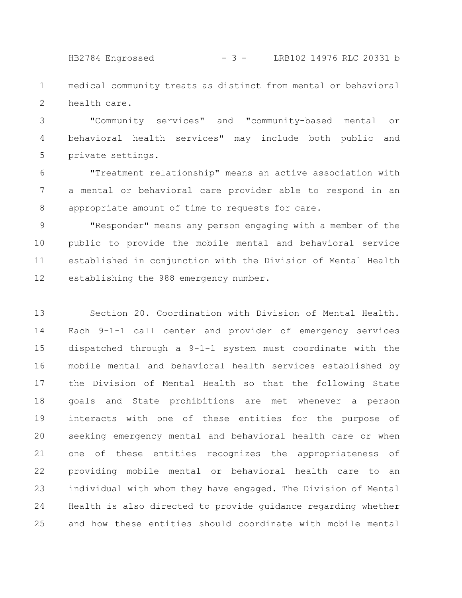HB2784 Engrossed - 3 - LRB102 14976 RLC 20331 b

medical community treats as distinct from mental or behavioral health care. 1 2

"Community services" and "community-based mental or behavioral health services" may include both public and private settings. 3 4 5

"Treatment relationship" means an active association with a mental or behavioral care provider able to respond in an appropriate amount of time to requests for care. 6 7 8

"Responder" means any person engaging with a member of the public to provide the mobile mental and behavioral service established in conjunction with the Division of Mental Health establishing the 988 emergency number. 9 10 11 12

Section 20. Coordination with Division of Mental Health. Each 9-1-1 call center and provider of emergency services dispatched through a 9-1-1 system must coordinate with the mobile mental and behavioral health services established by the Division of Mental Health so that the following State goals and State prohibitions are met whenever a person interacts with one of these entities for the purpose of seeking emergency mental and behavioral health care or when one of these entities recognizes the appropriateness of providing mobile mental or behavioral health care to an individual with whom they have engaged. The Division of Mental Health is also directed to provide guidance regarding whether and how these entities should coordinate with mobile mental 13 14 15 16 17 18 19 20 21 22 23 24 25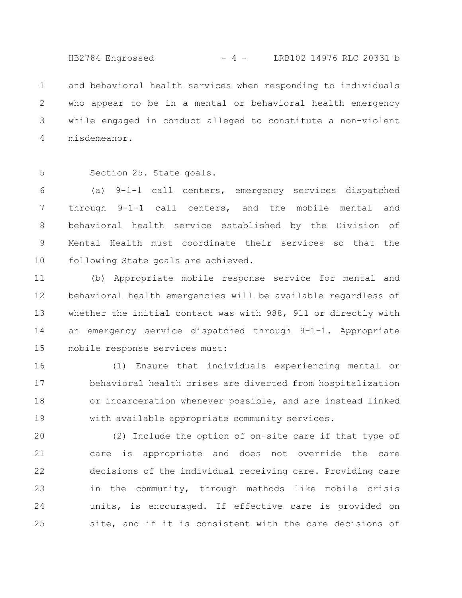HB2784 Engrossed - 4 - LRB102 14976 RLC 20331 b

and behavioral health services when responding to individuals who appear to be in a mental or behavioral health emergency while engaged in conduct alleged to constitute a non-violent misdemeanor. 1 2 3 4

Section 25. State goals. 5

(a) 9-1-1 call centers, emergency services dispatched through 9-1-1 call centers, and the mobile mental and behavioral health service established by the Division of Mental Health must coordinate their services so that the following State goals are achieved. 6 7 8 9 10

(b) Appropriate mobile response service for mental and behavioral health emergencies will be available regardless of whether the initial contact was with 988, 911 or directly with an emergency service dispatched through 9-1-1. Appropriate mobile response services must: 11 12 13 14 15

(1) Ensure that individuals experiencing mental or behavioral health crises are diverted from hospitalization or incarceration whenever possible, and are instead linked with available appropriate community services. 16 17 18 19

(2) Include the option of on-site care if that type of care is appropriate and does not override the care decisions of the individual receiving care. Providing care in the community, through methods like mobile crisis units, is encouraged. If effective care is provided on site, and if it is consistent with the care decisions of 20 21 22 23 24 25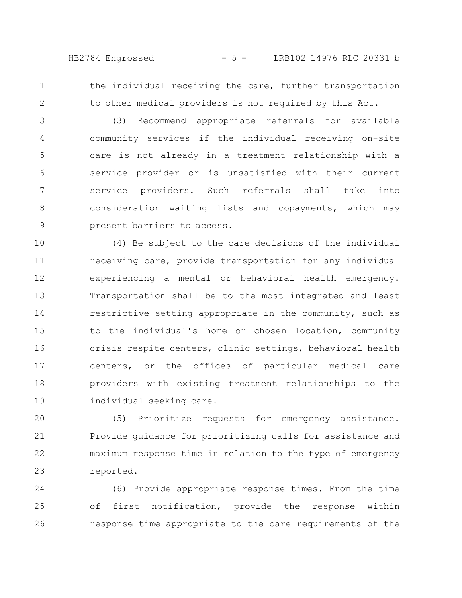HB2784 Engrossed - 5 - LRB102 14976 RLC 20331 b

1 2 the individual receiving the care, further transportation to other medical providers is not required by this Act.

(3) Recommend appropriate referrals for available community services if the individual receiving on-site care is not already in a treatment relationship with a service provider or is unsatisfied with their current service providers. Such referrals shall take into consideration waiting lists and copayments, which may present barriers to access. 3 4 5 6 7 8 9

(4) Be subject to the care decisions of the individual receiving care, provide transportation for any individual experiencing a mental or behavioral health emergency. Transportation shall be to the most integrated and least restrictive setting appropriate in the community, such as to the individual's home or chosen location, community crisis respite centers, clinic settings, behavioral health centers, or the offices of particular medical care providers with existing treatment relationships to the individual seeking care. 10 11 12 13 14 15 16 17 18 19

(5) Prioritize requests for emergency assistance. Provide guidance for prioritizing calls for assistance and maximum response time in relation to the type of emergency reported. 20 21 22 23

(6) Provide appropriate response times. From the time of first notification, provide the response within response time appropriate to the care requirements of the 24 25 26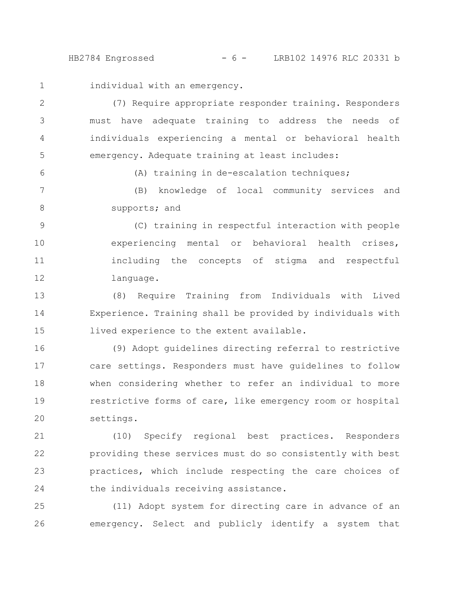HB2784 Engrossed - 6 - LRB102 14976 RLC 20331 b

individual with an emergency. 1

6

(7) Require appropriate responder training. Responders must have adequate training to address the needs of individuals experiencing a mental or behavioral health emergency. Adequate training at least includes: 2 3 4 5

(A) training in de-escalation techniques;

(B) knowledge of local community services and supports; and 7 8

(C) training in respectful interaction with people experiencing mental or behavioral health crises, including the concepts of stigma and respectful language. 9 10 11 12

(8) Require Training from Individuals with Lived Experience. Training shall be provided by individuals with lived experience to the extent available. 13 14 15

(9) Adopt guidelines directing referral to restrictive care settings. Responders must have guidelines to follow when considering whether to refer an individual to more restrictive forms of care, like emergency room or hospital settings. 16 17 18 19 20

(10) Specify regional best practices. Responders providing these services must do so consistently with best practices, which include respecting the care choices of the individuals receiving assistance. 21 22 23 24

(11) Adopt system for directing care in advance of an emergency. Select and publicly identify a system that 25 26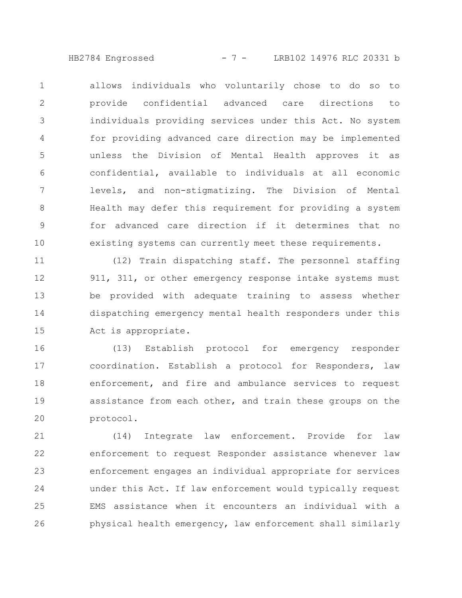HB2784 Engrossed - 7 - LRB102 14976 RLC 20331 b

allows individuals who voluntarily chose to do so to provide confidential advanced care directions to individuals providing services under this Act. No system for providing advanced care direction may be implemented unless the Division of Mental Health approves it as confidential, available to individuals at all economic levels, and non-stigmatizing. The Division of Mental Health may defer this requirement for providing a system for advanced care direction if it determines that no existing systems can currently meet these requirements. 1 2 3 4 5 6 7 8 9 10

(12) Train dispatching staff. The personnel staffing 911, 311, or other emergency response intake systems must be provided with adequate training to assess whether dispatching emergency mental health responders under this Act is appropriate. 11 12 13 14 15

(13) Establish protocol for emergency responder coordination. Establish a protocol for Responders, law enforcement, and fire and ambulance services to request assistance from each other, and train these groups on the protocol. 16 17 18 19 20

(14) Integrate law enforcement. Provide for law enforcement to request Responder assistance whenever law enforcement engages an individual appropriate for services under this Act. If law enforcement would typically request EMS assistance when it encounters an individual with a physical health emergency, law enforcement shall similarly 21 22 23 24 25 26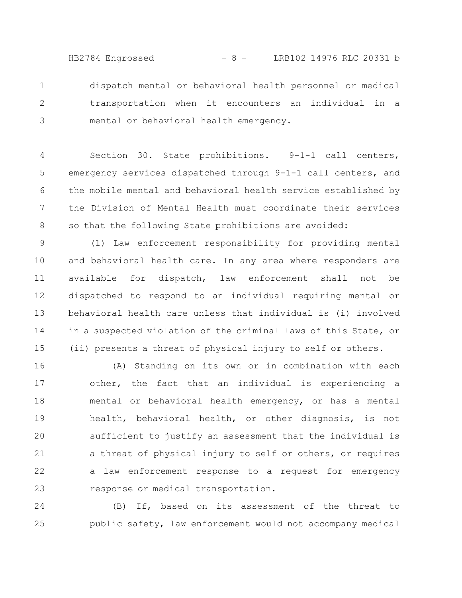HB2784 Engrossed - 8 - LRB102 14976 RLC 20331 b

dispatch mental or behavioral health personnel or medical transportation when it encounters an individual in a mental or behavioral health emergency. 1 2 3

Section 30. State prohibitions. 9-1-1 call centers, emergency services dispatched through 9-1-1 call centers, and the mobile mental and behavioral health service established by the Division of Mental Health must coordinate their services so that the following State prohibitions are avoided: 4 5 6 7 8

(1) Law enforcement responsibility for providing mental and behavioral health care. In any area where responders are available for dispatch, law enforcement shall not be dispatched to respond to an individual requiring mental or behavioral health care unless that individual is (i) involved in a suspected violation of the criminal laws of this State, or (ii) presents a threat of physical injury to self or others. 9 10 11 12 13 14 15

(A) Standing on its own or in combination with each other, the fact that an individual is experiencing a mental or behavioral health emergency, or has a mental health, behavioral health, or other diagnosis, is not sufficient to justify an assessment that the individual is a threat of physical injury to self or others, or requires a law enforcement response to a request for emergency response or medical transportation. 16 17 18 19 20 21 22 23

(B) If, based on its assessment of the threat to public safety, law enforcement would not accompany medical 24 25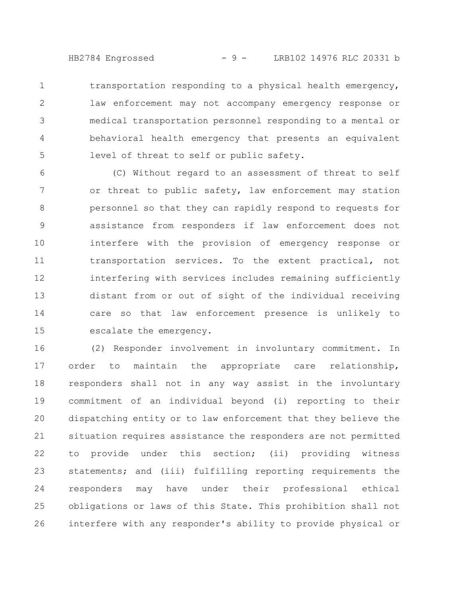HB2784 Engrossed - 9 - LRB102 14976 RLC 20331 b

transportation responding to a physical health emergency, law enforcement may not accompany emergency response or medical transportation personnel responding to a mental or behavioral health emergency that presents an equivalent level of threat to self or public safety. 1 2 3 4 5

(C) Without regard to an assessment of threat to self or threat to public safety, law enforcement may station personnel so that they can rapidly respond to requests for assistance from responders if law enforcement does not interfere with the provision of emergency response or transportation services. To the extent practical, not interfering with services includes remaining sufficiently distant from or out of sight of the individual receiving care so that law enforcement presence is unlikely to escalate the emergency. 6 7 8 9 10 11 12 13 14 15

(2) Responder involvement in involuntary commitment. In order to maintain the appropriate care relationship, responders shall not in any way assist in the involuntary commitment of an individual beyond (i) reporting to their dispatching entity or to law enforcement that they believe the situation requires assistance the responders are not permitted to provide under this section; (ii) providing witness statements; and (iii) fulfilling reporting requirements the responders may have under their professional ethical obligations or laws of this State. This prohibition shall not interfere with any responder's ability to provide physical or 16 17 18 19 20 21 22 23 24 25 26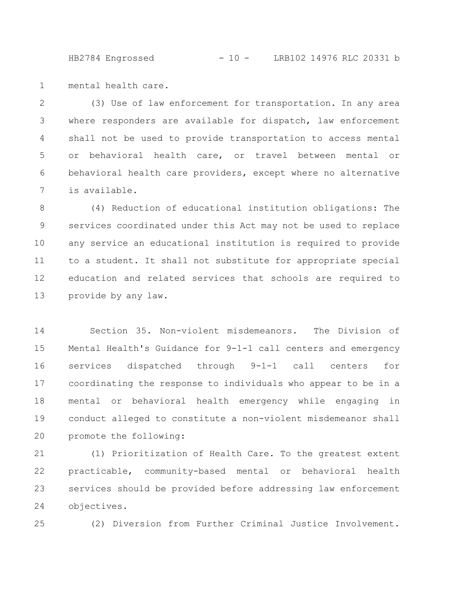HB2784 Engrossed - 10 - LRB102 14976 RLC 20331 b

mental health care. 1

(3) Use of law enforcement for transportation. In any area where responders are available for dispatch, law enforcement shall not be used to provide transportation to access mental or behavioral health care, or travel between mental or behavioral health care providers, except where no alternative is available. 2 3 4 5 6 7

(4) Reduction of educational institution obligations: The services coordinated under this Act may not be used to replace any service an educational institution is required to provide to a student. It shall not substitute for appropriate special education and related services that schools are required to provide by any law. 8 9 10 11 12 13

Section 35. Non-violent misdemeanors. The Division of Mental Health's Guidance for 9-1-1 call centers and emergency services dispatched through 9-1-1 call centers for coordinating the response to individuals who appear to be in a mental or behavioral health emergency while engaging in conduct alleged to constitute a non-violent misdemeanor shall promote the following: 14 15 16 17 18 19 20

(1) Prioritization of Health Care. To the greatest extent practicable, community-based mental or behavioral health services should be provided before addressing law enforcement objectives. 21 22 23 24

25

(2) Diversion from Further Criminal Justice Involvement.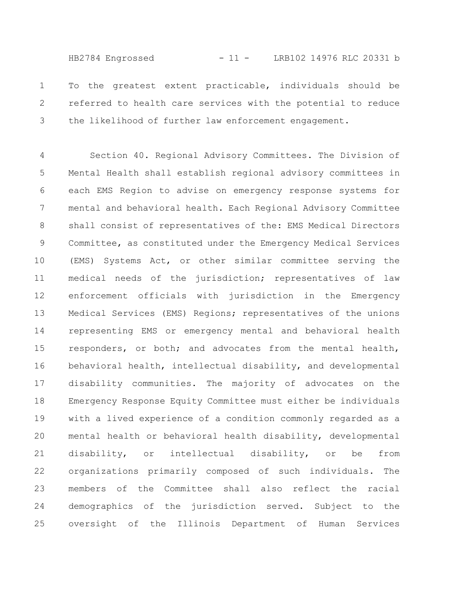HB2784 Engrossed - 11 - LRB102 14976 RLC 20331 b

To the greatest extent practicable, individuals should be referred to health care services with the potential to reduce the likelihood of further law enforcement engagement. 1 2 3

Section 40. Regional Advisory Committees. The Division of Mental Health shall establish regional advisory committees in each EMS Region to advise on emergency response systems for mental and behavioral health. Each Regional Advisory Committee shall consist of representatives of the: EMS Medical Directors Committee, as constituted under the Emergency Medical Services (EMS) Systems Act, or other similar committee serving the medical needs of the jurisdiction; representatives of law enforcement officials with jurisdiction in the Emergency Medical Services (EMS) Regions; representatives of the unions representing EMS or emergency mental and behavioral health responders, or both; and advocates from the mental health, behavioral health, intellectual disability, and developmental disability communities. The majority of advocates on the Emergency Response Equity Committee must either be individuals with a lived experience of a condition commonly regarded as a mental health or behavioral health disability, developmental disability, or intellectual disability, or be from organizations primarily composed of such individuals. The members of the Committee shall also reflect the racial demographics of the jurisdiction served. Subject to the oversight of the Illinois Department of Human Services 4 5 6 7 8 9 10 11 12 13 14 15 16 17 18 19 20 21 22 23 24 25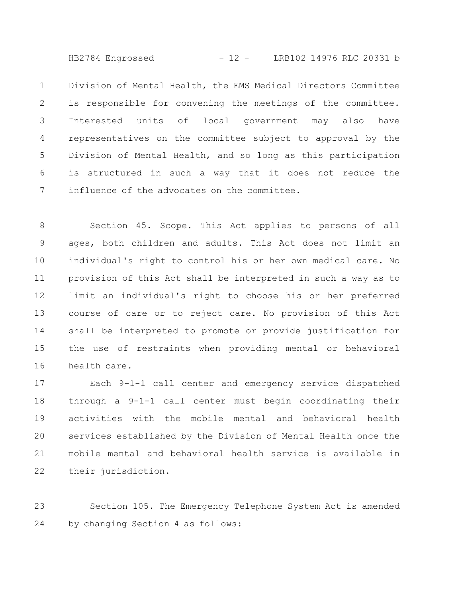HB2784 Engrossed - 12 - LRB102 14976 RLC 20331 b

Division of Mental Health, the EMS Medical Directors Committee is responsible for convening the meetings of the committee. Interested units of local government may also have representatives on the committee subject to approval by the Division of Mental Health, and so long as this participation is structured in such a way that it does not reduce the influence of the advocates on the committee. 1 2 3 4 5 6 7

Section 45. Scope. This Act applies to persons of all ages, both children and adults. This Act does not limit an individual's right to control his or her own medical care. No provision of this Act shall be interpreted in such a way as to limit an individual's right to choose his or her preferred course of care or to reject care. No provision of this Act shall be interpreted to promote or provide justification for the use of restraints when providing mental or behavioral health care. 8 9 10 11 12 13 14 15 16

Each 9-1-1 call center and emergency service dispatched through a 9-1-1 call center must begin coordinating their activities with the mobile mental and behavioral health services established by the Division of Mental Health once the mobile mental and behavioral health service is available in their jurisdiction. 17 18 19 20 21 22

Section 105. The Emergency Telephone System Act is amended by changing Section 4 as follows: 23 24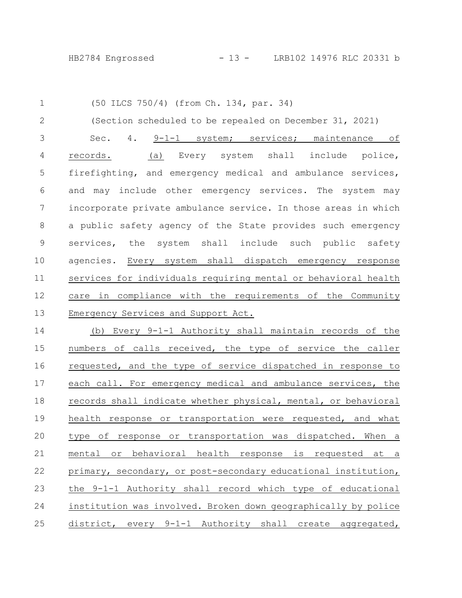(50 ILCS 750/4) (from Ch. 134, par. 34) (Section scheduled to be repealed on December 31, 2021) Sec. 4. 9-1-1 system; services; maintenance of records. (a) Every system shall include police, firefighting, and emergency medical and ambulance services, and may include other emergency services. The system may incorporate private ambulance service. In those areas in which a public safety agency of the State provides such emergency services, the system shall include such public safety agencies. Every system shall dispatch emergency response services for individuals requiring mental or behavioral health care in compliance with the requirements of the Community Emergency Services and Support Act. (b) Every 9-1-1 Authority shall maintain records of the numbers of calls received, the type of service the caller requested, and the type of service dispatched in response to each call. For emergency medical and ambulance services, the records shall indicate whether physical, mental, or behavioral health response or transportation were requested, and what type of response or transportation was dispatched. When a mental or behavioral health response is requested at a primary, secondary, or post-secondary educational institution, the 9-1-1 Authority shall record which type of educational institution was involved. Broken down geographically by police district, every 9-1-1 Authority shall create aggregated, 1 2 3 4 5 6 7 8 9 10 11 12 13 14 15 16 17 18 19 20 21 22 23 24 25